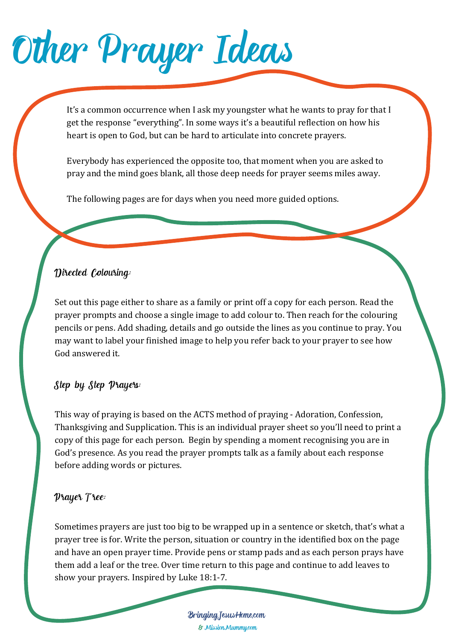Other Prayer Ideas

It's a common occurrence when I ask my youngster what he wants to pray for that I get the response "everything". In some ways it's a beautiful reflection on how his heart is open to God, but can be hard to articulate into concrete prayers.

Everybody has experienced the opposite too, that moment when you are asked to pray and the mind goes blank, all those deep needs for prayer seems miles away.

The following pages are for days when you need more guided options.

### Directed Colouring:

Set out this page either to share as a family or print off a copy for each person. Read the prayer prompts and choose a single image to add colour to. Then reach for the colouring pencils or pens. Add shading, details and go outside the lines as you continue to pray. You may want to label your finished image to help you refer back to your prayer to see how God answered it.

### Step by Step Prayers:

This way of praying is based on the ACTS method of praying - Adoration, Confession, Thanksgiving and Supplication. This is an individual prayer sheet so you'll need to print a copy of this page for each person. Begin by spending a moment recognising you are in God's presence. As you read the prayer prompts talk as a family about each response before adding words or pictures.

### Prayer Tree:

Sometimes prayers are just too big to be wrapped up in a sentence or sketch, that's what a prayer tree is for. Write the person, situation or country in the identified box on the page and have an open prayer time. Provide pens or stamp pads and as each person prays have them add a leaf or the tree. Over time return to this page and continue to add leaves to show your prayers. Inspired by Luke 18:1-7.

> BringingJesusHome.com & MissionMummy.com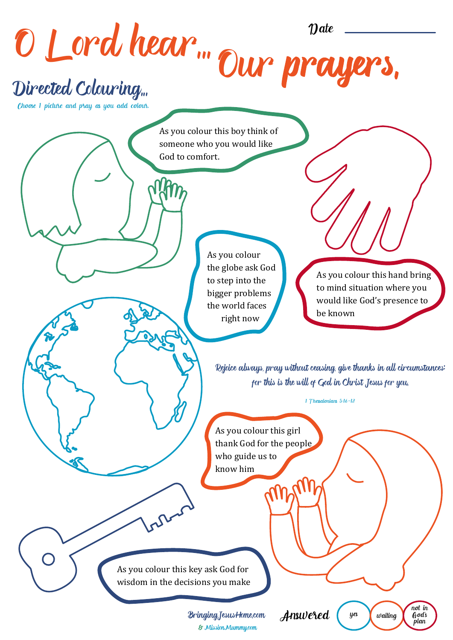O Lord hear... Our pra Rejoice always, pray without ceasing, give thanks in all circumstances; for this is the will of God in Christ Jesus for you. 1 Thessalonians 5:16-18 Directed Colouring... BringingJesusHome.com & MissionMummy.com As you colour this boy think of someone who you would like God to comfort. As you colour this hand bring to mind situation where you would like God's presence to be known As you colour this girl thank God for the people who guide us to know him As you colour the globe ask God to step into the bigger problems the world faces right now As you colour this key ask God for wisdom in the decisions you make Choose 1 picture and pray as you add colour.  $y$ es  $\bigvee$  waiting not in<br>God's<br>plan Answered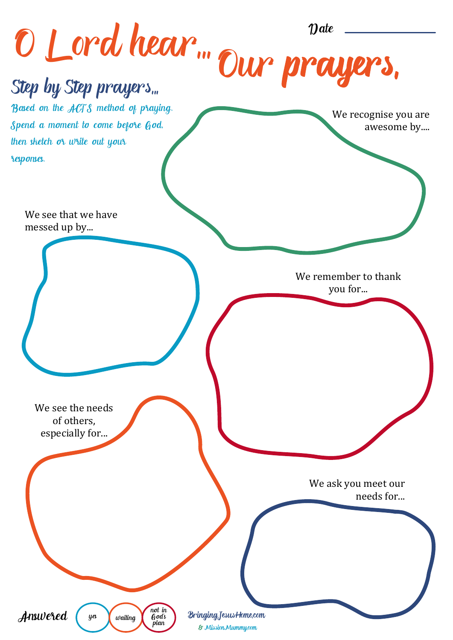